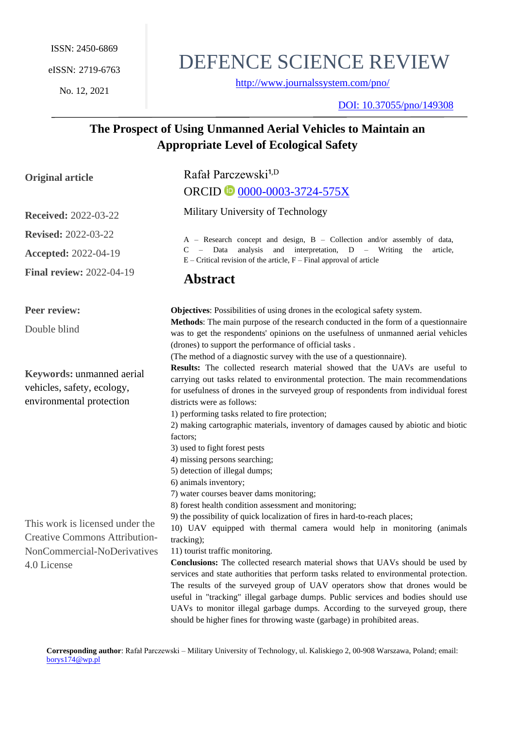No. 12, 2021

# DEFENCE SCIENCE REVIEW

<http://www.journalssystem.com/pno/>

DOI: [10.37055/pno/149308](https://doi.org/10.37055/pno/136372)

# **The Prospect of Using Unmanned Aerial Vehicles to Maintain an Appropriate Level of Ecological Safety**

| <b>Original article</b>                                                                                                                                                                                                             | Rafał Parczewski <sup>1,D</sup>                                                                                                                                                                                                                                                                                                                                                                                                                                                                                                                                    |
|-------------------------------------------------------------------------------------------------------------------------------------------------------------------------------------------------------------------------------------|--------------------------------------------------------------------------------------------------------------------------------------------------------------------------------------------------------------------------------------------------------------------------------------------------------------------------------------------------------------------------------------------------------------------------------------------------------------------------------------------------------------------------------------------------------------------|
|                                                                                                                                                                                                                                     | ORCID <u>0000-0003-3724-575X</u>                                                                                                                                                                                                                                                                                                                                                                                                                                                                                                                                   |
| <b>Received: 2022-03-22</b>                                                                                                                                                                                                         | Military University of Technology                                                                                                                                                                                                                                                                                                                                                                                                                                                                                                                                  |
| <b>Revised: 2022-03-22</b>                                                                                                                                                                                                          | A - Research concept and design, B - Collection and/or assembly of data,<br>analysis<br>and interpretation, D – Writing<br>C<br>$-$ Data<br>the<br>article,<br>$E$ – Critical revision of the article, $F$ – Final approval of article<br><b>Abstract</b>                                                                                                                                                                                                                                                                                                          |
| <b>Accepted: 2022-04-19</b>                                                                                                                                                                                                         |                                                                                                                                                                                                                                                                                                                                                                                                                                                                                                                                                                    |
| <b>Final review: 2022-04-19</b>                                                                                                                                                                                                     |                                                                                                                                                                                                                                                                                                                                                                                                                                                                                                                                                                    |
| Peer review:                                                                                                                                                                                                                        | <b>Objectives:</b> Possibilities of using drones in the ecological safety system.                                                                                                                                                                                                                                                                                                                                                                                                                                                                                  |
| Double blind<br><b>Keywords: unmanned aerial</b><br>vehicles, safety, ecology,<br>environmental protection<br>This work is licensed under the<br><b>Creative Commons Attribution-</b><br>NonCommercial-NoDerivatives<br>4.0 License | Methods: The main purpose of the research conducted in the form of a questionnaire<br>was to get the respondents' opinions on the usefulness of unmanned aerial vehicles<br>(drones) to support the performance of official tasks.                                                                                                                                                                                                                                                                                                                                 |
|                                                                                                                                                                                                                                     | (The method of a diagnostic survey with the use of a questionnaire).<br>Results: The collected research material showed that the UAVs are useful to<br>carrying out tasks related to environmental protection. The main recommendations<br>for usefulness of drones in the surveyed group of respondents from individual forest<br>districts were as follows:                                                                                                                                                                                                      |
|                                                                                                                                                                                                                                     | 1) performing tasks related to fire protection;<br>2) making cartographic materials, inventory of damages caused by abiotic and biotic<br>factors;<br>3) used to fight forest pests<br>4) missing persons searching;<br>5) detection of illegal dumps;                                                                                                                                                                                                                                                                                                             |
|                                                                                                                                                                                                                                     | 6) animals inventory;<br>7) water courses beaver dams monitoring;<br>8) forest health condition assessment and monitoring;<br>9) the possibility of quick localization of fires in hard-to-reach places;<br>10) UAV equipped with thermal camera would help in monitoring (animals                                                                                                                                                                                                                                                                                 |
|                                                                                                                                                                                                                                     | tracking);<br>11) tourist traffic monitoring.<br><b>Conclusions:</b> The collected research material shows that UAVs should be used by<br>services and state authorities that perform tasks related to environmental protection.<br>The results of the surveyed group of UAV operators show that drones would be<br>useful in "tracking" illegal garbage dumps. Public services and bodies should use<br>UAVs to monitor illegal garbage dumps. According to the surveyed group, there<br>should be higher fines for throwing waste (garbage) in prohibited areas. |

**Corresponding author**: Rafał Parczewski – Military University of Technology, ul. Kaliskiego 2, 00-908 Warszawa, Poland; email: [borys174@wp.pl](mailto:borys174@wp.pl)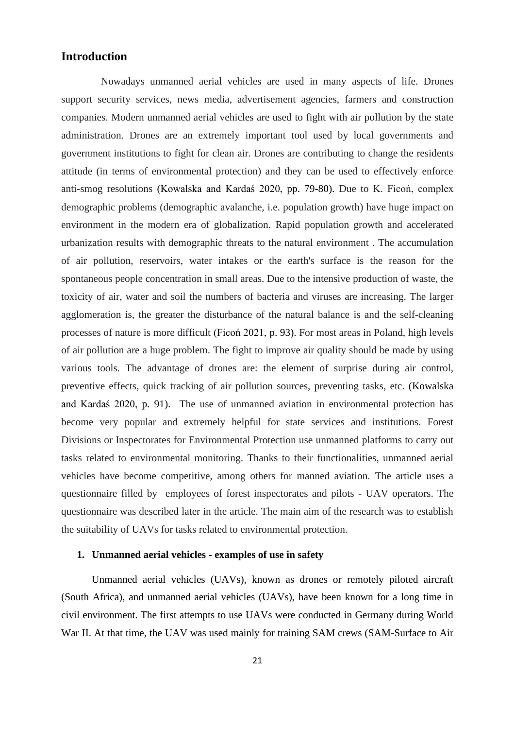# **Introduction**

Nowadays unmanned aerial vehicles are used in many aspects of life. Drones support security services, news media, advertisement agencies, farmers and construction companies. Modern unmanned aerial vehicles are used to fight with air pollution by the state administration. Drones are an extremely important tool used by local governments and government institutions to fight for clean air. Drones are contributing to change the residents attitude (in terms of environmental protection) and they can be used to effectively enforce anti-smog resolutions (Kowalska and Kardaś 2020, pp. 79-80). Due to K. Ficoń, complex demographic problems (demographic avalanche, i.e. population growth) have huge impact on environment in the modern era of globalization. Rapid population growth and accelerated urbanization results with demographic threats to the natural environment . The accumulation of air pollution, reservoirs, water intakes or the earth's surface is the reason for the spontaneous people concentration in small areas. Due to the intensive production of waste, the toxicity of air, water and soil the numbers of bacteria and viruses are increasing. The larger agglomeration is, the greater the disturbance of the natural balance is and the self-cleaning processes of nature is more difficult (Ficoń 2021, p. 93). For most areas in Poland, high levels of air pollution are a huge problem. The fight to improve air quality should be made by using various tools. The advantage of drones are: the element of surprise during air control, preventive effects, quick tracking of air pollution sources, preventing tasks, etc. (Kowalska and Kardaś 2020, p. 91). The use of unmanned aviation in environmental protection has become very popular and extremely helpful for state services and institutions. Forest Divisions or Inspectorates for Environmental Protection use unmanned platforms to carry out tasks related to environmental monitoring. Thanks to their functionalities, unmanned aerial vehicles have become competitive, among others for manned aviation. The article uses a questionnaire filled by employees of forest inspectorates and pilots - UAV operators. The questionnaire was described later in the article. The main aim of the research was to establish the suitability of UAVs for tasks related to environmental protection.

#### **1. Unmanned aerial vehicles - examples of use in safety**

Unmanned aerial vehicles (UAVs), known as drones or remotely piloted aircraft (South Africa), and unmanned aerial vehicles (UAVs), have been known for a long time in civil environment. The first attempts to use UAVs were conducted in Germany during World War II. At that time, the UAV was used mainly for training SAM crews (SAM-Surface to Air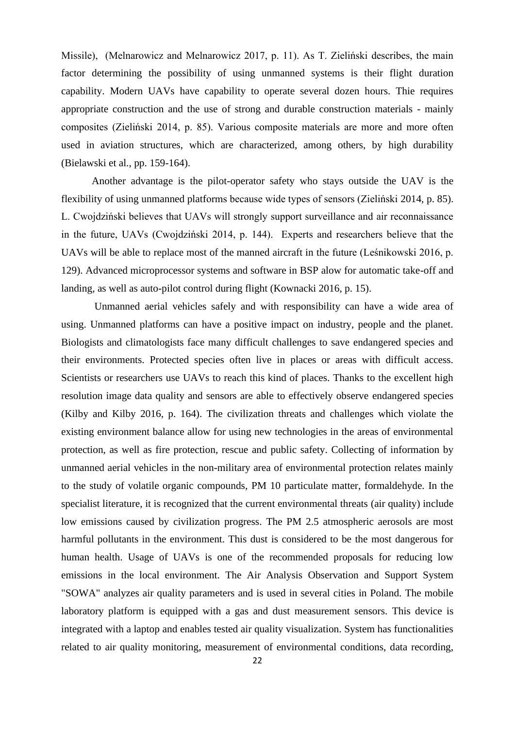Missile), (Melnarowicz and Melnarowicz 2017, p. 11). As T. Zieliński describes, the main factor determining the possibility of using unmanned systems is their flight duration capability. Modern UAVs have capability to operate several dozen hours. Thie requires appropriate construction and the use of strong and durable construction materials - mainly composites (Zieliński 2014, p. 85). Various composite materials are more and more often used in aviation structures, which are characterized, among others, by high durability (Bielawski et al., pp. 159-164).

Another advantage is the pilot-operator safety who stays outside the UAV is the flexibility of using unmanned platforms because wide types of sensors (Zieliński 2014, p. 85). L. Cwojdziński believes that UAVs will strongly support surveillance and air reconnaissance in the future, UAVs (Cwojdziński 2014, p. 144). Experts and researchers believe that the UAVs will be able to replace most of the manned aircraft in the future (Leśnikowski 2016, p. 129). Advanced microprocessor systems and software in BSP alow for automatic take-off and landing, as well as auto-pilot control during flight (Kownacki 2016, p. 15).

Unmanned aerial vehicles safely and with responsibility can have a wide area of using. Unmanned platforms can have a positive impact on industry, people and the planet. Biologists and climatologists face many difficult challenges to save endangered species and their environments. Protected species often live in places or areas with difficult access. Scientists or researchers use UAVs to reach this kind of places. Thanks to the excellent high resolution image data quality and sensors are able to effectively observe endangered species (Kilby and Kilby 2016, p. 164). The civilization threats and challenges which violate the existing environment balance allow for using new technologies in the areas of environmental protection, as well as fire protection, rescue and public safety. Collecting of information by unmanned aerial vehicles in the non-military area of environmental protection relates mainly to the study of volatile organic compounds, PM 10 particulate matter, formaldehyde. In the specialist literature, it is recognized that the current environmental threats (air quality) include low emissions caused by civilization progress. The PM 2.5 atmospheric aerosols are most harmful pollutants in the environment. This dust is considered to be the most dangerous for human health. Usage of UAVs is one of the recommended proposals for reducing low emissions in the local environment. The Air Analysis Observation and Support System "SOWA" analyzes air quality parameters and is used in several cities in Poland. The mobile laboratory platform is equipped with a gas and dust measurement sensors. This device is integrated with a laptop and enables tested air quality visualization. System has functionalities related to air quality monitoring, measurement of environmental conditions, data recording,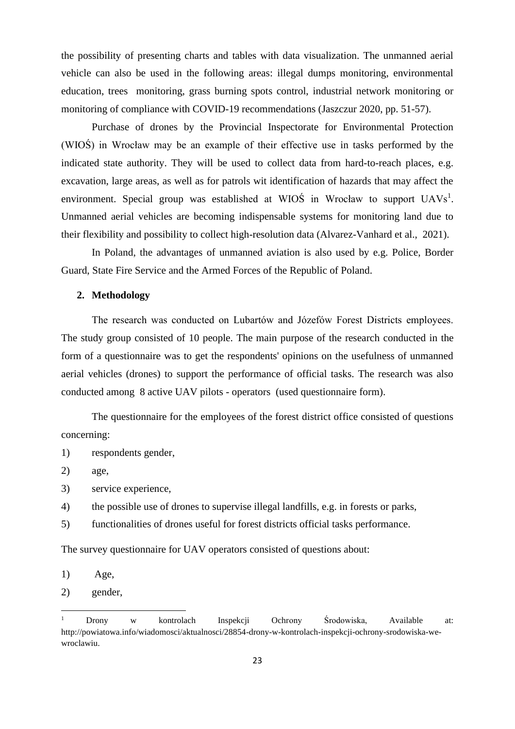the possibility of presenting charts and tables with data visualization. The unmanned aerial vehicle can also be used in the following areas: illegal dumps monitoring, environmental education, trees monitoring, grass burning spots control, industrial network monitoring or monitoring of compliance with COVID-19 recommendations (Jaszczur 2020, pp. 51-57).

Purchase of drones by the Provincial Inspectorate for Environmental Protection (WIOŚ) in Wrocław may be an example of their effective use in tasks performed by the indicated state authority. They will be used to collect data from hard-to-reach places, e.g. excavation, large areas, as well as for patrols wit identification of hazards that may affect the environment. Special group was established at WIOS in Wrocław to support  $UAVs<sup>1</sup>$ . Unmanned aerial vehicles are becoming indispensable systems for monitoring land due to their flexibility and possibility to collect high-resolution data (Alvarez-Vanhard et al., 2021).

In Poland, the advantages of unmanned aviation is also used by e.g. Police, Border Guard, State Fire Service and the Armed Forces of the Republic of Poland.

#### **2. Methodology**

The research was conducted on Lubartów and Józefów Forest Districts employees. The study group consisted of 10 people. The main purpose of the research conducted in the form of a questionnaire was to get the respondents' opinions on the usefulness of unmanned aerial vehicles (drones) to support the performance of official tasks. The research was also conducted among 8 active UAV pilots - operators (used questionnaire form).

The questionnaire for the employees of the forest district office consisted of questions concerning:

- 1) respondents gender,
- 2) age,
- 3) service experience,
- 4) the possible use of drones to supervise illegal landfills, e.g. in forests or parks,
- 5) functionalities of drones useful for forest districts official tasks performance.

The survey questionnaire for UAV operators consisted of questions about:

1) Age,

2) gender,

<sup>1</sup> Drony w kontrolach Inspekcji Ochrony Środowiska, Available at: http://powiatowa.info/wiadomosci/aktualnosci/28854-drony-w-kontrolach-inspekcji-ochrony-srodowiska-wewroclawiu.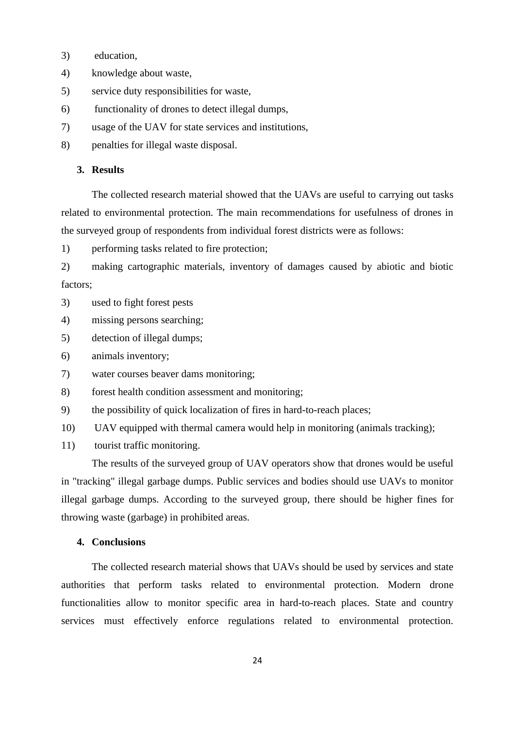- 3) education,
- 4) knowledge about waste,
- 5) service duty responsibilities for waste,
- 6) functionality of drones to detect illegal dumps,
- 7) usage of the UAV for state services and institutions,
- 8) penalties for illegal waste disposal.

## **3. Results**

The collected research material showed that the UAVs are useful to carrying out tasks related to environmental protection. The main recommendations for usefulness of drones in the surveyed group of respondents from individual forest districts were as follows:

1) performing tasks related to fire protection;

2) making cartographic materials, inventory of damages caused by abiotic and biotic factors;

- 3) used to fight forest pests
- 4) missing persons searching;
- 5) detection of illegal dumps;
- 6) animals inventory;
- 7) water courses beaver dams monitoring;
- 8) forest health condition assessment and monitoring;
- 9) the possibility of quick localization of fires in hard-to-reach places;
- 10) UAV equipped with thermal camera would help in monitoring (animals tracking);
- 11) tourist traffic monitoring.

The results of the surveyed group of UAV operators show that drones would be useful in "tracking" illegal garbage dumps. Public services and bodies should use UAVs to monitor illegal garbage dumps. According to the surveyed group, there should be higher fines for throwing waste (garbage) in prohibited areas.

#### **4. Conclusions**

The collected research material shows that UAVs should be used by services and state authorities that perform tasks related to environmental protection. Modern drone functionalities allow to monitor specific area in hard-to-reach places. State and country services must effectively enforce regulations related to environmental protection.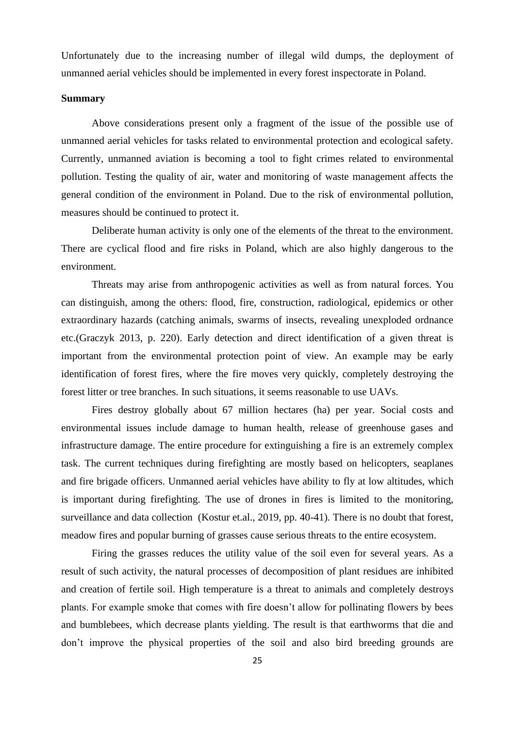Unfortunately due to the increasing number of illegal wild dumps, the deployment of unmanned aerial vehicles should be implemented in every forest inspectorate in Poland.

#### **Summary**

Above considerations present only a fragment of the issue of the possible use of unmanned aerial vehicles for tasks related to environmental protection and ecological safety. Currently, unmanned aviation is becoming a tool to fight crimes related to environmental pollution. Testing the quality of air, water and monitoring of waste management affects the general condition of the environment in Poland. Due to the risk of environmental pollution, measures should be continued to protect it.

Deliberate human activity is only one of the elements of the threat to the environment. There are cyclical flood and fire risks in Poland, which are also highly dangerous to the environment.

Threats may arise from anthropogenic activities as well as from natural forces. You can distinguish, among the others: flood, fire, construction, radiological, epidemics or other extraordinary hazards (catching animals, swarms of insects, revealing unexploded ordnance etc.(Graczyk 2013, p. 220). Early detection and direct identification of a given threat is important from the environmental protection point of view. An example may be early identification of forest fires, where the fire moves very quickly, completely destroying the forest litter or tree branches. In such situations, it seems reasonable to use UAVs.

Fires destroy globally about 67 million hectares (ha) per year. Social costs and environmental issues include damage to human health, release of greenhouse gases and infrastructure damage. The entire procedure for extinguishing a fire is an extremely complex task. The current techniques during firefighting are mostly based on helicopters, seaplanes and fire brigade officers. Unmanned aerial vehicles have ability to fly at low altitudes, which is important during firefighting. The use of drones in fires is limited to the monitoring, surveillance and data collection (Kostur et.al., 2019, pp. 40-41). There is no doubt that forest, meadow fires and popular burning of grasses cause serious threats to the entire ecosystem.

Firing the grasses reduces the utility value of the soil even for several years. As a result of such activity, the natural processes of decomposition of plant residues are inhibited and creation of fertile soil. High temperature is a threat to animals and completely destroys plants. For example smoke that comes with fire doesn't allow for pollinating flowers by bees and bumblebees, which decrease plants yielding. The result is that earthworms that die and don't improve the physical properties of the soil and also bird breeding grounds are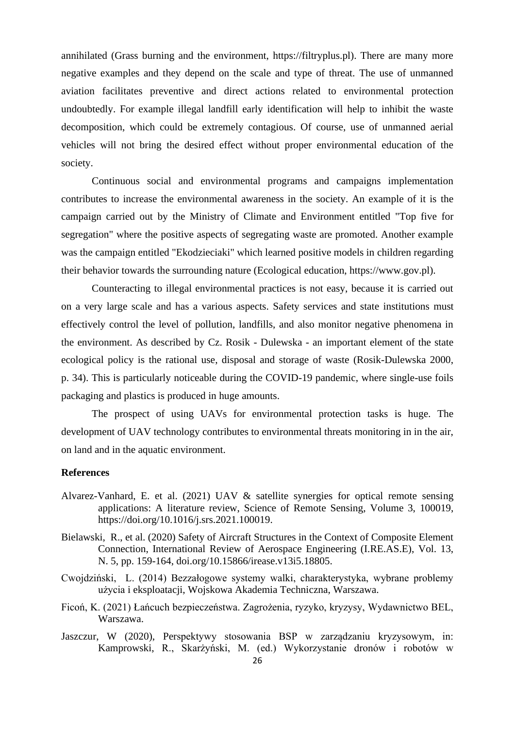annihilated (Grass burning and the environment, https://filtryplus.pl). There are many more negative examples and they depend on the scale and type of threat. The use of unmanned aviation facilitates preventive and direct actions related to environmental protection undoubtedly. For example illegal landfill early identification will help to inhibit the waste decomposition, which could be extremely contagious. Of course, use of unmanned aerial vehicles will not bring the desired effect without proper environmental education of the society.

Continuous social and environmental programs and campaigns implementation contributes to increase the environmental awareness in the society. An example of it is the campaign carried out by the Ministry of Climate and Environment entitled "Top five for segregation" where the positive aspects of segregating waste are promoted. Another example was the campaign entitled "Ekodzieciaki" which learned positive models in children regarding their behavior towards the surrounding nature (Ecological education, https://www.gov.pl).

Counteracting to illegal environmental practices is not easy, because it is carried out on a very large scale and has a various aspects. Safety services and state institutions must effectively control the level of pollution, landfills, and also monitor negative phenomena in the environment. As described by Cz. Rosik - Dulewska - an important element of the state ecological policy is the rational use, disposal and storage of waste (Rosik-Dulewska 2000, p. 34). This is particularly noticeable during the COVID-19 pandemic, where single-use foils packaging and plastics is produced in huge amounts.

The prospect of using UAVs for environmental protection tasks is huge. The development of UAV technology contributes to environmental threats monitoring in in the air, on land and in the aquatic environment.

#### **References**

- Alvarez-Vanhard, E. et al. (2021) UAV & satellite synergies for optical remote sensing applications: A literature review, Science of Remote Sensing, Volume 3, 100019, https://doi.org/10.1016/j.srs.2021.100019.
- Bielawski, R., et al. (2020) Safety of Aircraft Structures in the Context of Composite Element Connection, International Review of Aerospace Engineering (I.RE.AS.E), Vol. 13, N. 5, pp. 159-164, doi.org/10.15866/irease.v13i5.18805.
- Cwojdziński, L. (2014) Bezzałogowe systemy walki, charakterystyka, wybrane problemy użycia i eksploatacji, Wojskowa Akademia Techniczna, Warszawa.
- Ficoń, K. (2021) Łańcuch bezpieczeństwa. Zagrożenia, ryzyko, kryzysy, Wydawnictwo BEL, Warszawa.
- Jaszczur, W (2020), Perspektywy stosowania BSP w zarządzaniu kryzysowym, in: Kamprowski, R., Skarżyński, M. (ed.) Wykorzystanie dronów i robotów w